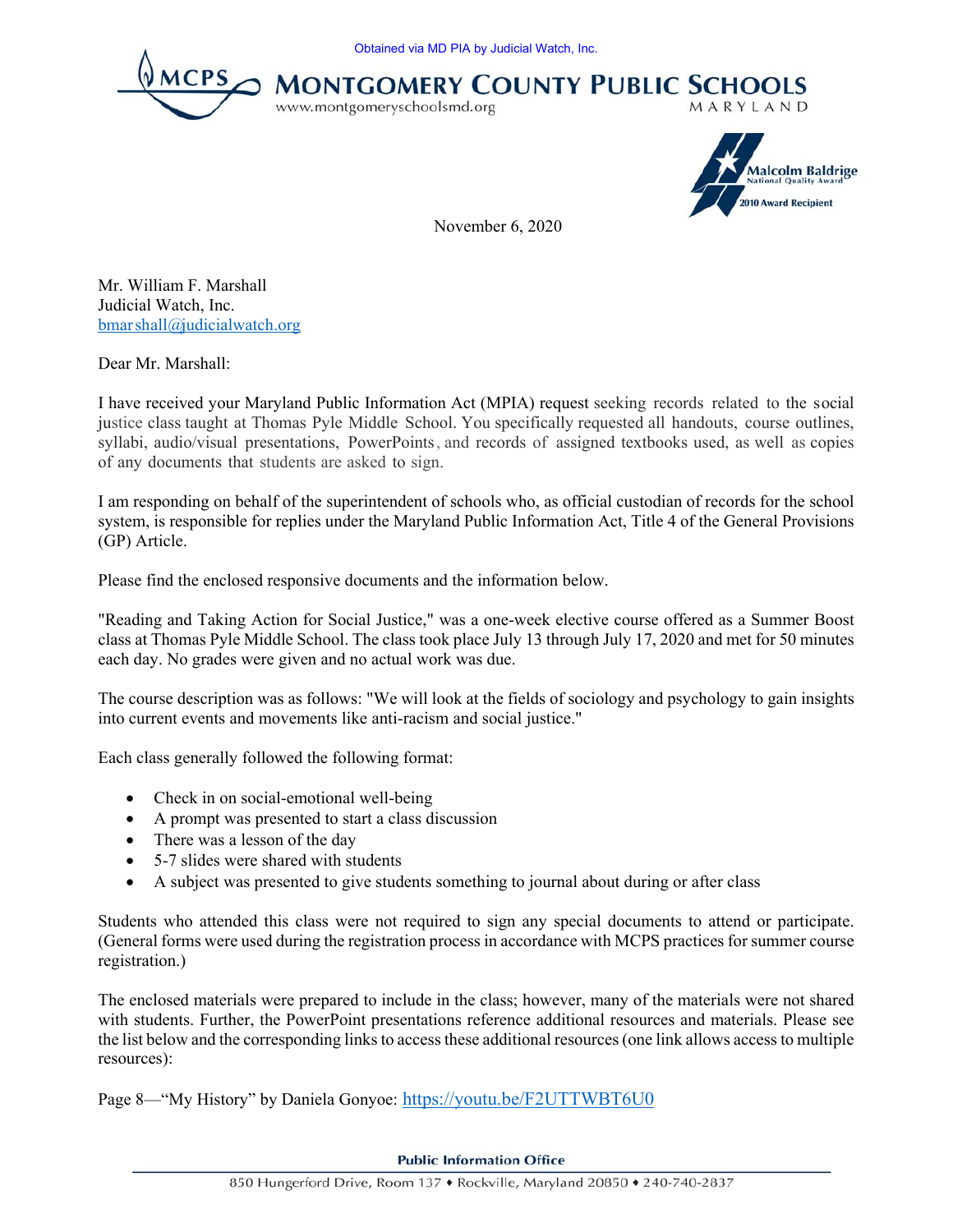





November 6, 2020

Mr. William F. Marshall Judicial Watch, Inc. bmarshall@judicialwatch.org

Dear Mr. Marshall:

I have received your Maryland Public Information Act (MPIA) request seeking records related to the social justice class taught at Thomas Pyle Middle School. You specifically requested all handouts, course outlines, syllabi, audio/visual presentations, PowerPoints, and records of assigned textbooks used, as well as copies of any documents that students are asked to sign.

I am responding on behalf of the superintendent of schools who, as official custodian of records for the school system, is responsible for replies under the Maryland Public Information Act, Title 4 of the General Provisions (GP) Article.

Please find the enclosed responsive documents and the information below.

"Reading and Taking Action for Social Justice," was a one-week elective course offered as a Summer Boost class at Thomas Pyle Middle School. The class took place July 13 through July 17, 2020 and met for 50 minutes each day. No grades were given and no actual work was due.

The course description was as follows: "We will look at the fields of sociology and psychology to gain insights into current events and movements like anti-racism and social justice."

Each class generally followed the following format:

- Check in on social-emotional well-being
- A prompt was presented to start a class discussion
- There was a lesson of the day
- 5-7 slides were shared with students
- A subject was presented to give students something to journal about during or after class

Students who attended this class were not required to sign any special documents to attend or participate. (General forms were used during the registration process in accordance with MCPS practices for summer course registration.)

The enclosed materials were prepared to include in the class; however, many of the materials were not shared with students. Further, the PowerPoint presentations reference additional resources and materials. Please see the list below and the corresponding links to access these additional resources (one link allows access to multiple resources):

Page 8—"My History" by Daniela Gonyoe: https://youtu.be/F2UTTWBT6U0

**Public Information Office**